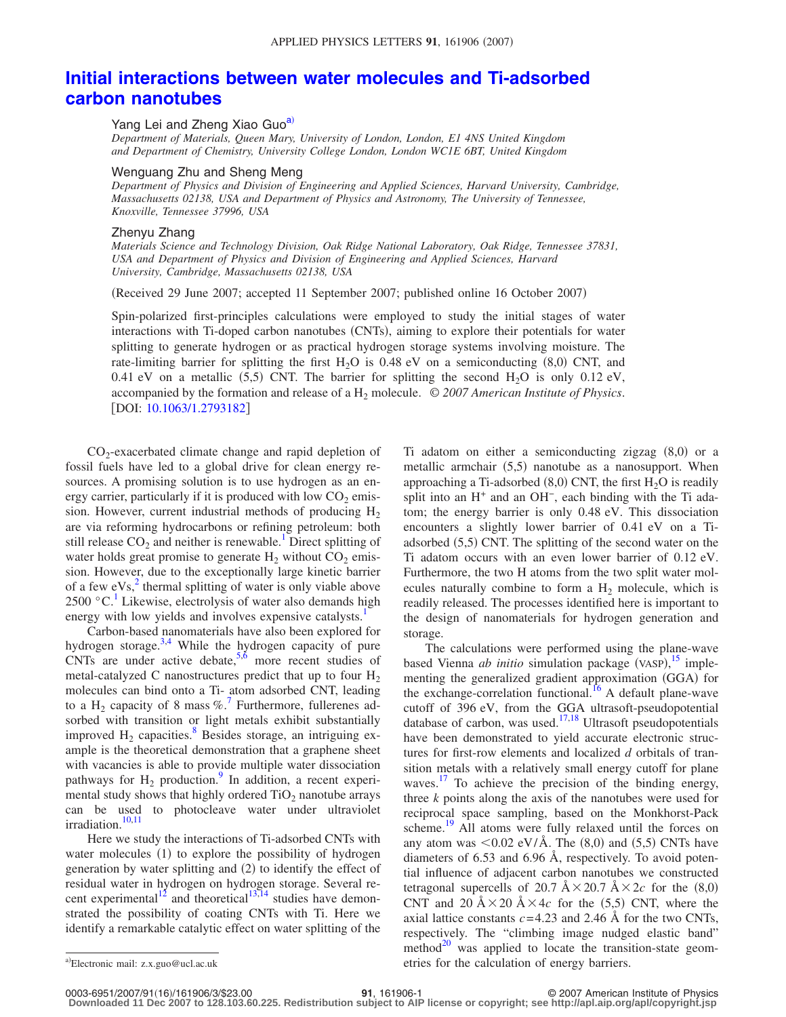## **[Initial interactions between water molecules and Ti-adsorbed](http://dx.doi.org/10.1063/1.2793182) [carbon nanotubes](http://dx.doi.org/10.1063/1.2793182)**

Yang Lei and Zheng Xiao Guo<sup>a)</sup>

*Department of Materials, Queen Mary, University of London, London, E1 4NS United Kingdom and Department of Chemistry, University College London, London WC1E 6BT, United Kingdom*

## Wenguang Zhu and Sheng Meng

*Department of Physics and Division of Engineering and Applied Sciences, Harvard University, Cambridge, Massachusetts 02138, USA and Department of Physics and Astronomy, The University of Tennessee, Knoxville, Tennessee 37996, USA*

## Zhenyu Zhang

*Materials Science and Technology Division, Oak Ridge National Laboratory, Oak Ridge, Tennessee 37831, USA and Department of Physics and Division of Engineering and Applied Sciences, Harvard University, Cambridge, Massachusetts 02138, USA*

Received 29 June 2007; accepted 11 September 2007; published online 16 October 2007-

Spin-polarized first-principles calculations were employed to study the initial stages of water interactions with Ti-doped carbon nanotubes (CNTs), aiming to explore their potentials for water splitting to generate hydrogen or as practical hydrogen storage systems involving moisture. The rate-limiting barrier for splitting the first  $H_2O$  is 0.48 eV on a semiconducting (8,0) CNT, and 0.41 eV on a metallic  $(5,5)$  CNT. The barrier for splitting the second H<sub>2</sub>O is only 0.12 eV, accompanied by the formation and release of a H<sub>2</sub> molecule. © 2007 American Institute of Physics. [DOI: [10.1063/1.2793182](http://dx.doi.org/10.1063/1.2793182)]

CO2-exacerbated climate change and rapid depletion of fossil fuels have led to a global drive for clean energy resources. A promising solution is to use hydrogen as an energy carrier, particularly if it is produced with low  $CO<sub>2</sub>$  emission. However, current industrial methods of producing  $H<sub>2</sub>$ are via reforming hydrocarbons or refining petroleum: both still release  $CO<sub>2</sub>$  and neither is renewable.<sup>1</sup> Direct splitting of water holds great promise to generate  $H_2$  without  $CO_2$  emission. However, due to the exceptionally large kinetic barrier of a few  $eVs<sub>1</sub><sup>2</sup>$  thermal splitting of water is only viable above  $2500 \degree C$ . Likewise, electrolysis of water also demands high energy with low yields and involves expensive catalysts.<sup>1</sup>

Carbon-based nanomaterials have also been explored for hydrogen storage. $3,4$  $3,4$  While the hydrogen capacity of pure CNTs are under active debate,  $5.6$  more recent studies of metal-catalyzed C nanostructures predict that up to four  $H_2$ molecules can bind onto a Ti- atom adsorbed CNT, leading to a H<sub>2</sub> capacity of 8 mass %.<sup>7</sup> Furthermore, fullerenes adsorbed with transition or light metals exhibit substantially improved  $H_2$  capacities.<sup>8</sup> Besides storage, an intriguing example is the theoretical demonstration that a graphene sheet with vacancies is able to provide multiple water dissociation pathways for  $H_2$  production.<sup>9</sup> In addition, a recent experimental study shows that highly ordered  $TiO<sub>2</sub>$  nanotube arrays can be used to photocleave water under ultraviolet irradiation.<sup>10,[11](#page-2-10)</sup>

Here we study the interactions of Ti-adsorbed CNTs with water molecules (1) to explore the possibility of hydrogen generation by water splitting and (2) to identify the effect of residual water in hydrogen on hydrogen storage. Several re-cent experimental<sup>12</sup> and theoretical<sup>13,[14](#page-2-13)</sup> studies have demonstrated the possibility of coating CNTs with Ti. Here we identify a remarkable catalytic effect on water splitting of the

Ti adatom on either a semiconducting zigzag  $(8,0)$  or a metallic armchair (5,5) nanotube as a nanosupport. When approaching a Ti-adsorbed  $(8,0)$  CNT, the first  $H_2O$  is readily split into an H<sup>+</sup> and an OH<sup>-</sup>, each binding with the Ti adatom; the energy barrier is only 0.48 eV. This dissociation encounters a slightly lower barrier of 0.41 eV on a Tiadsorbed (5,5) CNT. The splitting of the second water on the Ti adatom occurs with an even lower barrier of 0.12 eV. Furthermore, the two H atoms from the two split water molecules naturally combine to form a  $H_2$  molecule, which is readily released. The processes identified here is important to the design of nanomaterials for hydrogen generation and storage.

The calculations were performed using the plane-wave based Vienna *ab initio* simulation package (VASP),<sup>[15](#page-2-14)</sup> implementing the generalized gradient approximation (GGA) for the exchange-correlation functional.<sup>16</sup> A default plane-wave cutoff of 396 eV, from the GGA ultrasoft-pseudopotential database of carbon, was used.<sup>17[,18](#page-2-17)</sup> Ultrasoft pseudopotentials have been demonstrated to yield accurate electronic structures for first-row elements and localized *d* orbitals of transition metals with a relatively small energy cutoff for plane waves.<sup>[17](#page-2-16)</sup> To achieve the precision of the binding energy, three *k* points along the axis of the nanotubes were used for reciprocal space sampling, based on the Monkhorst-Pack scheme.<sup>19</sup> All atoms were fully relaxed until the forces on any atom was  $\langle 0.02 \text{ eV/A.}$  The  $(8,0)$  and  $(5,5)$  CNTs have diameters of 6.53 and 6.96 Å, respectively. To avoid potential influence of adjacent carbon nanotubes we constructed tetragonal supercells of 20.7  $A \times 20.7$   $A \times 2c$  for the  $(8,0)$ CNT and 20  $A \times 20$   $A \times 4c$  for the (5,5) CNT, where the axial lattice constants  $c = 4.23$  and 2.46 Å for the two CNTs, respectively. The "climbing image nudged elastic band" method<sup>20</sup> was applied to locate the transition-state geometries for the calculation of energy barriers.

<span id="page-0-0"></span>Electronic mail: z.x.guo@ucl.ac.uk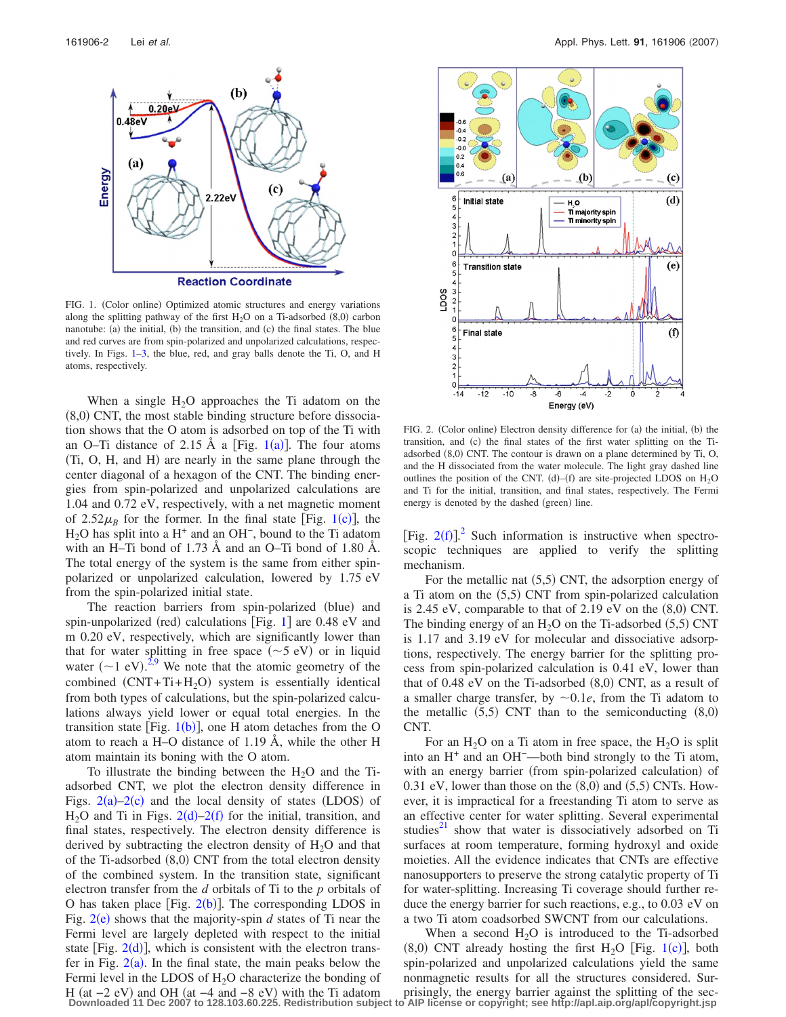<span id="page-1-0"></span>

FIG. 1. (Color online) Optimized atomic structures and energy variations along the splitting pathway of the first  $H_2O$  on a Ti-adsorbed  $(8,0)$  carbon nanotube: (a) the initial, (b) the transition, and (c) the final states. The blue and red curves are from spin-polarized and unpolarized calculations, respectively. In Figs.  $1-3$  $1-3$ , the blue, red, and gray balls denote the Ti, O, and H atoms, respectively.

When a single  $H_2O$  approaches the Ti adatom on the (8,0) CNT, the most stable binding structure before dissociation shows that the O atom is adsorbed on top of the Ti with an O–Ti distance of 2.[1](#page-1-0)5 Å a [Fig.  $1(a)$ ]. The four atoms (Ti, O, H, and H) are nearly in the same plane through the center diagonal of a hexagon of the CNT. The binding energies from spin-polarized and unpolarized calculations are 1.04 and 0.72 eV, respectively, with a net magnetic moment of  $2.52\mu_B$  for the former. In the final state [Fig. [1](#page-1-0)(c)], the  $H<sub>2</sub>O$  has split into a H<sup>+</sup> and an OH<sup>-</sup>, bound to the Ti adatom with an H–Ti bond of 1.73 Å and an O–Ti bond of 1.80 Å. The total energy of the system is the same from either spinpolarized or unpolarized calculation, lowered by 1.75 eV from the spin-polarized initial state.

The reaction barriers from spin-polarized (blue) and spin-unpolarized (red) calculations [Fig. [1](#page-1-0)] are 0.48 eV and m 0.20 eV, respectively, which are significantly lower than that for water splitting in free space  $(\sim 5 \text{ eV})$  or in liquid water  $({\sim}1$  eV).<sup>[2](#page-2-1)[,9](#page-2-8)</sup> We note that the atomic geometry of the combined  $(CNT + Ti + H<sub>2</sub>O)$  system is essentially identical from both types of calculations, but the spin-polarized calculations always yield lower or equal total energies. In the transition state [Fig.  $1(b)$  $1(b)$ ], one H atom detaches from the O atom to reach a H–O distance of 1.19 Å, while the other H atom maintain its boning with the O atom.

To illustrate the binding between the  $H_2O$  and the Tiadsorbed CNT, we plot the electron density difference in Figs.  $2(a)-2(c)$  $2(a)-2(c)$  and the local density of states (LDOS) of  $H_2O$  $H_2O$  $H_2O$  and Ti in Figs. 2(d)[–2](#page-1-1)(f) for the initial, transition, and final states, respectively. The electron density difference is derived by subtracting the electron density of  $H_2O$  and that of the Ti-adsorbed (8,0) CNT from the total electron density of the combined system. In the transition state, significant electron transfer from the *d* orbitals of Ti to the *p* orbitals of O has taken place [Fig.  $2(b)$  $2(b)$ ]. The corresponding LDOS in Fig.  $2(e)$  $2(e)$  shows that the majority-spin  $d$  states of Ti near the Fermi level are largely depleted with respect to the initial state [Fig.  $2(d)$  $2(d)$ ], which is consistent with the electron transfer in Fig.  $2(a)$  $2(a)$ . In the final state, the main peaks below the Fermi level in the LDOS of  $H<sub>2</sub>O$  characterize the bonding of H (at  $-2$  eV) and OH (at  $-4$  and  $-8$  eV) with the Ti adatom

<span id="page-1-1"></span>

FIG. 2. (Color online) Electron density difference for (a) the initial, (b) the transition, and (c) the final states of the first water splitting on the Tiadsorbed (8,0) CNT. The contour is drawn on a plane determined by Ti, O, and the H dissociated from the water molecule. The light gray dashed line outlines the position of the CNT. (d)–(f) are site-projected LDOS on  $H_2O$ and Ti for the initial, transition, and final states, respectively. The Fermi energy is denoted by the dashed (green) line.

[Fig.  $2(f)$  $2(f)$ ].<sup>2</sup> Such information is instructive when spectroscopic techniques are applied to verify the splitting mechanism.

For the metallic nat (5,5) CNT, the adsorption energy of a Ti atom on the (5,5) CNT from spin-polarized calculation is 2.45 eV, comparable to that of 2.19 eV on the  $(8,0)$  CNT. The binding energy of an  $H_2O$  on the Ti-adsorbed (5,5) CNT is 1.17 and 3.19 eV for molecular and dissociative adsorptions, respectively. The energy barrier for the splitting process from spin-polarized calculation is 0.41 eV, lower than that of  $0.48$  eV on the Ti-adsorbed  $(8,0)$  CNT, as a result of a smaller charge transfer, by  $\sim 0.1e$ , from the Ti adatom to the metallic  $(5,5)$  CNT than to the semiconducting  $(8,0)$ CNT.

For an  $H_2O$  on a Ti atom in free space, the  $H_2O$  is split into an H<sup>+</sup> and an OH−—both bind strongly to the Ti atom, with an energy barrier (from spin-polarized calculation) of  $0.31$  eV, lower than those on the  $(8,0)$  and  $(5,5)$  CNTs. However, it is impractical for a freestanding Ti atom to serve as an effective center for water splitting. Several experimental studies<sup>[21](#page-2-20)</sup> show that water is dissociatively adsorbed on Ti surfaces at room temperature, forming hydroxyl and oxide moieties. All the evidence indicates that CNTs are effective nanosupporters to preserve the strong catalytic property of Ti for water-splitting. Increasing Ti coverage should further reduce the energy barrier for such reactions, e.g., to 0.03 eV on a two Ti atom coadsorbed SWCNT from our calculations.

When a second  $H<sub>2</sub>O$  is introduced to the Ti-adsorbed  $(8,0)$  CNT already hosting the first H<sub>2</sub>O [Fig. [1](#page-1-0)(c)], both spin-polarized and unpolarized calculations yield the same nonmagnetic results for all the structures considered. Surprisingly, the energy barrier against the splitting of the sec-**Downloaded 11 Dec 2007 to 128.103.60.225. Redistribution subject to AIP license or copyright; see http://apl.aip.org/apl/copyright.jsp**